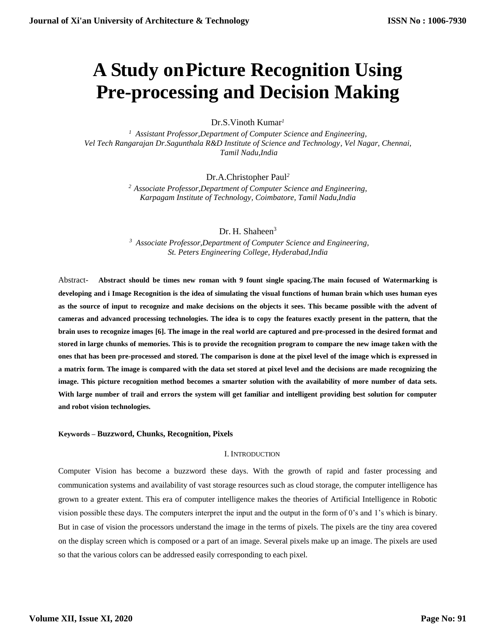# **A Study onPicture Recognition Using Pre-processing and Decision Making**

Dr.S.Vinoth Kumar*<sup>1</sup>*

*<sup>1</sup>Assistant Professor,Department of Computer Science and Engineering, Vel Tech Rangarajan Dr.Sagunthala R&D Institute of Science and Technology, Vel Nagar, Chennai, Tamil Nadu,India*

Dr.A.Christopher Paul*<sup>2</sup>*

*<sup>2</sup> Associate Professor,Department of Computer Science and Engineering, Karpagam Institute of Technology, Coimbatore, Tamil Nadu,India*

Dr. H. Shaheen<sup>3</sup>

*<sup>3</sup>Associate Professor,Department of Computer Science and Engineering, St. Peters Engineering College, Hyderabad,India*

Abstract- **Abstract should be times new roman with 9 fount single spacing.The main focused of Watermarking is developing and i Image Recognition is the idea of simulating the visual functions of human brain which uses human eyes as the source of input to recognize and make decisions on the objects it sees. This became possible with the advent of cameras and advanced processing technologies. The idea is to copy the features exactly present in the pattern, that the brain uses to recognize images [6]. The image in the real world are captured and pre-processed in the desired format and stored in large chunks of memories. This is to provide the recognition program to compare the new image taken with the ones that has been pre-processed and stored. The comparison is done at the pixel level of the image which is expressed in a matrix form. The image is compared with the data set stored at pixel level and the decisions are made recognizing the image. This picture recognition method becomes a smarter solution with the availability of more number of data sets. With large number of trail and errors the system will get familiar and intelligent providing best solution for computer and robot vision technologies.**

# **Keywords – Buzzword, Chunks, Recognition, Pixels**

### I. INTRODUCTION

Computer Vision has become a buzzword these days. With the growth of rapid and faster processing and communication systems and availability of vast storage resources such as cloud storage, the computer intelligence has grown to a greater extent. This era of computer intelligence makes the theories of Artificial Intelligence in Robotic vision possible these days. The computers interpret the input and the output in the form of 0's and 1's which is binary. But in case of vision the processors understand the image in the terms of pixels. The pixels are the tiny area covered on the display screen which is composed or a part of an image. Several pixels make up an image. The pixels are used so that the various colors can be addressed easily corresponding to each pixel.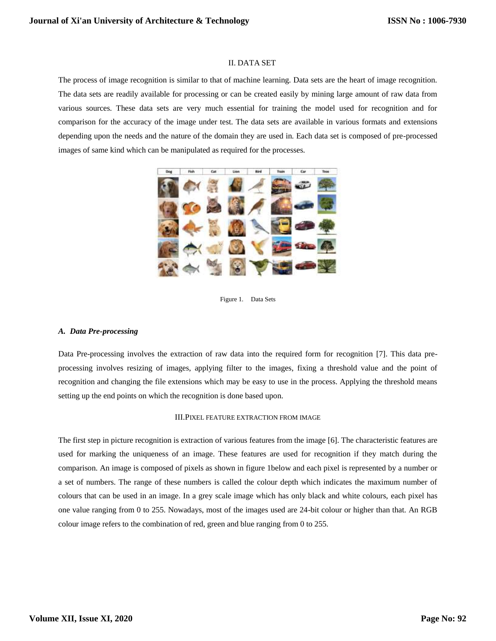# II. DATA SET

The process of image recognition is similar to that of machine learning. Data sets are the heart of image recognition. The data sets are readily available for processing or can be created easily by mining large amount of raw data from various sources. These data sets are very much essential for training the model used for recognition and for comparison for the accuracy of the image under test. The data sets are available in various formats and extensions depending upon the needs and the nature of the domain they are used in. Each data set is composed of pre-processed images of same kind which can be manipulated as required for the processes.



Figure 1. Data Sets

### *A. Data Pre-processing*

Data Pre-processing involves the extraction of raw data into the required form for recognition [7]. This data preprocessing involves resizing of images, applying filter to the images, fixing a threshold value and the point of recognition and changing the file extensions which may be easy to use in the process. Applying the threshold means setting up the end points on which the recognition is done based upon.

#### III.PIXEL FEATURE EXTRACTION FROM IMAGE

The first step in picture recognition is extraction of various features from the image [6]. The characteristic features are used for marking the uniqueness of an image. These features are used for recognition if they match during the comparison. An image is composed of pixels as shown in figure 1below and each pixel is represented by a number or a set of numbers. The range of these numbers is called the colour depth which indicates the maximum number of colours that can be used in an image. In a grey scale image which has only black and white colours, each pixel has one value ranging from 0 to 255. Nowadays, most of the images used are 24-bit colour or higher than that. An RGB colour image refers to the combination of red, green and blue ranging from 0 to 255.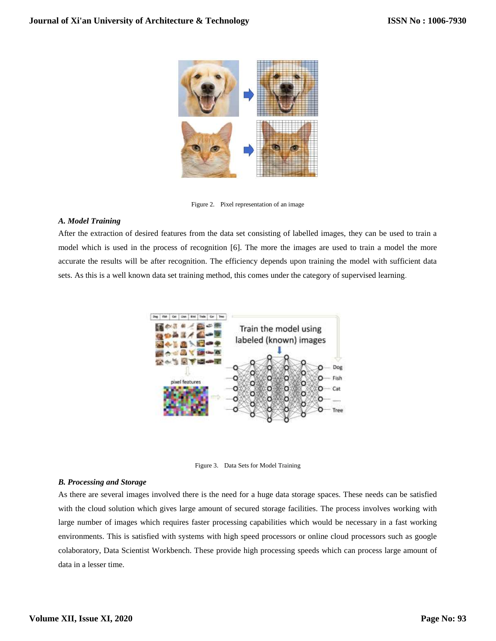

Figure 2. Pixel representation of an image

# *A. Model Training*

After the extraction of desired features from the data set consisting of labelled images, they can be used to train a model which is used in the process of recognition [6]. The more the images are used to train a model the more accurate the results will be after recognition. The efficiency depends upon training the model with sufficient data sets. As this is a well known data set training method, this comes under the category of supervised learning.



Figure 3. Data Sets for Model Training

### *B. Processing and Storage*

As there are several images involved there is the need for a huge data storage spaces. These needs can be satisfied with the cloud solution which gives large amount of secured storage facilities. The process involves working with large number of images which requires faster processing capabilities which would be necessary in a fast working environments. This is satisfied with systems with high speed processors or online cloud processors such as google colaboratory, Data Scientist Workbench. These provide high processing speeds which can process large amount of data in a lesser time.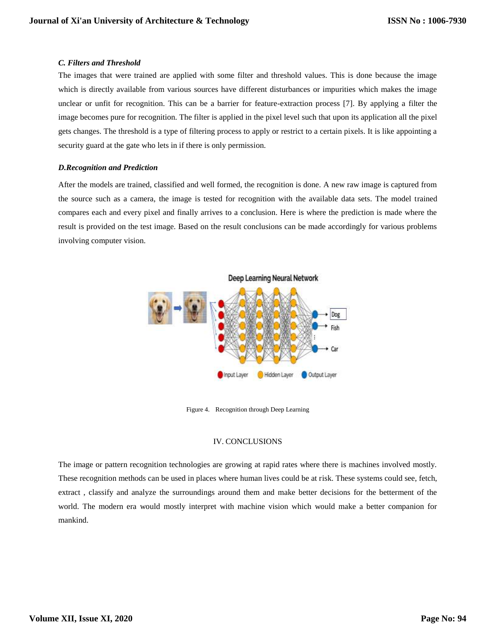## *C. Filters and Threshold*

The images that were trained are applied with some filter and threshold values. This is done because the image which is directly available from various sources have different disturbances or impurities which makes the image unclear or unfit for recognition. This can be a barrier for feature-extraction process [7]. By applying a filter the image becomes pure for recognition. The filter is applied in the pixel level such that upon its application all the pixel gets changes. The threshold is a type of filtering process to apply or restrict to a certain pixels. It is like appointing a security guard at the gate who lets in if there is only permission.

# *D.Recognition and Prediction*

After the models are trained, classified and well formed, the recognition is done. A new raw image is captured from the source such as a camera, the image is tested for recognition with the available data sets. The model trained compares each and every pixel and finally arrives to a conclusion. Here is where the prediction is made where the result is provided on the test image. Based on the result conclusions can be made accordingly for various problems involving computer vision.



Figure 4. Recognition through Deep Learning

# IV. CONCLUSIONS

The image or pattern recognition technologies are growing at rapid rates where there is machines involved mostly. These recognition methods can be used in places where human lives could be at risk. These systems could see, fetch, extract , classify and analyze the surroundings around them and make better decisions for the betterment of the world. The modern era would mostly interpret with machine vision which would make a better companion for mankind.